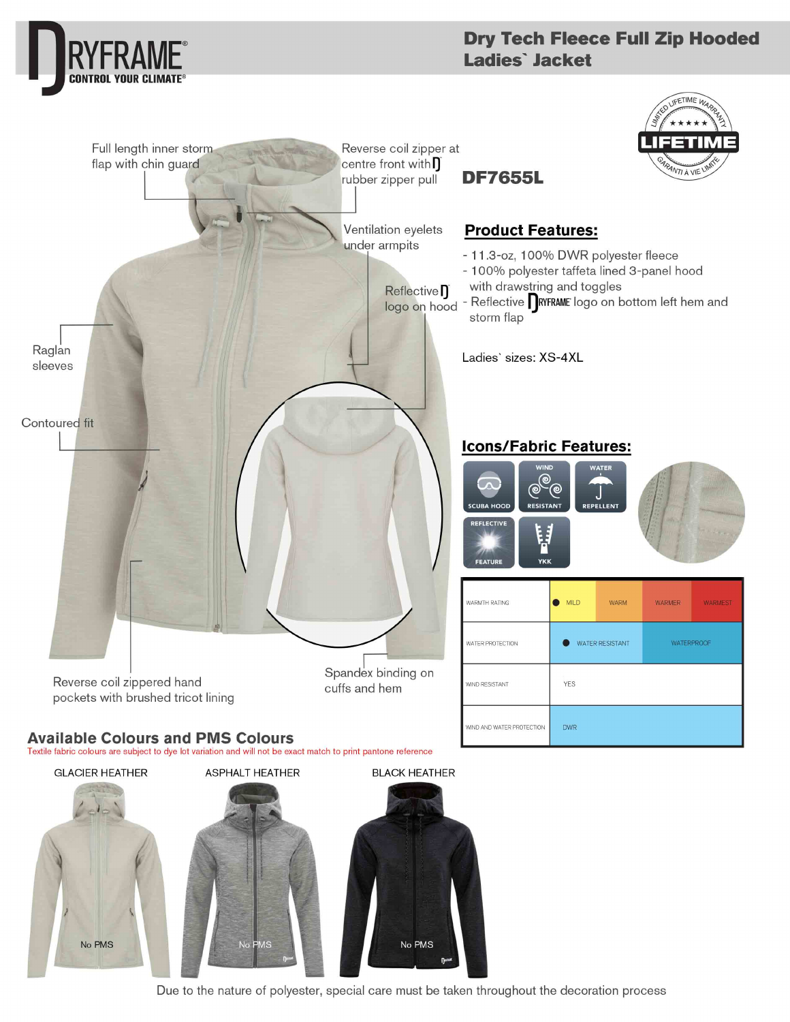

Due to the nature of polyester, special care must be taken throughout the decoration process